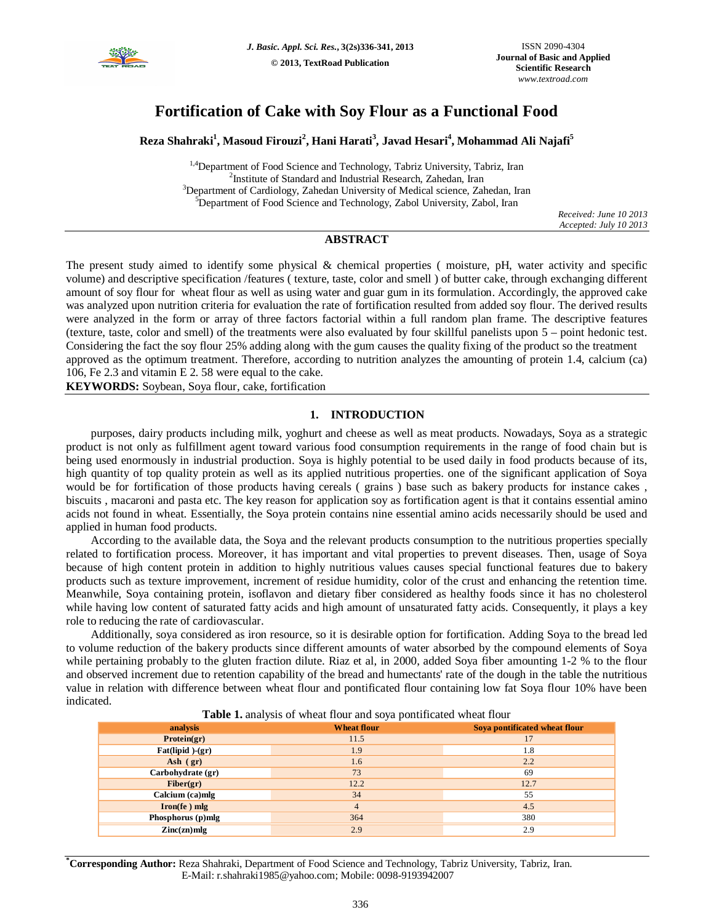

# **Fortification of Cake with Soy Flour as a Functional Food**

**Reza Shahraki<sup>1</sup> , Masoud Firouzi<sup>2</sup> , Hani Harati<sup>3</sup> , Javad Hesari<sup>4</sup> , Mohammad Ali Najafi<sup>5</sup>**

<sup>1,4</sup>Department of Food Science and Technology, Tabriz University, Tabriz, Iran <sup>2</sup>Institute of Standard and Industrial Research, Zahedan, Iran  $3$ Department of Cardiology, Zahedan University of Medical science, Zahedan, Iran <sup>5</sup>Department of Food Science and Technology, Zabol University, Zabol, Iran

*Received: June 10 2013 Accepted: July 10 2013*

## **ABSTRACT**

The present study aimed to identify some physical & chemical properties ( moisture, pH, water activity and specific volume) and descriptive specification /features ( texture, taste, color and smell ) of butter cake, through exchanging different amount of soy flour for wheat flour as well as using water and guar gum in its formulation. Accordingly, the approved cake was analyzed upon nutrition criteria for evaluation the rate of fortification resulted from added soy flour. The derived results were analyzed in the form or array of three factors factorial within a full random plan frame. The descriptive features (texture, taste, color and smell) of the treatments were also evaluated by four skillful panelists upon 5 – point hedonic test. Considering the fact the soy flour 25% adding along with the gum causes the quality fixing of the product so the treatment approved as the optimum treatment. Therefore, according to nutrition analyzes the amounting of protein 1.4, calcium (ca) 106, Fe 2.3 and vitamin E 2. 58 were equal to the cake.

**KEYWORDS:** Soybean, Soya flour, cake, fortification

## **1. INTRODUCTION**

purposes, dairy products including milk, yoghurt and cheese as well as meat products. Nowadays, Soya as a strategic product is not only as fulfillment agent toward various food consumption requirements in the range of food chain but is being used enormously in industrial production. Soya is highly potential to be used daily in food products because of its, high quantity of top quality protein as well as its applied nutritious properties. one of the significant application of Soya would be for fortification of those products having cereals ( grains ) base such as bakery products for instance cakes , biscuits , macaroni and pasta etc. The key reason for application soy as fortification agent is that it contains essential amino acids not found in wheat. Essentially, the Soya protein contains nine essential amino acids necessarily should be used and applied in human food products.

According to the available data, the Soya and the relevant products consumption to the nutritious properties specially related to fortification process. Moreover, it has important and vital properties to prevent diseases. Then, usage of Soya because of high content protein in addition to highly nutritious values causes special functional features due to bakery products such as texture improvement, increment of residue humidity, color of the crust and enhancing the retention time. Meanwhile, Soya containing protein, isoflavon and dietary fiber considered as healthy foods since it has no cholesterol while having low content of saturated fatty acids and high amount of unsaturated fatty acids. Consequently, it plays a key role to reducing the rate of cardiovascular.

Additionally, soya considered as iron resource, so it is desirable option for fortification. Adding Soya to the bread led to volume reduction of the bakery products since different amounts of water absorbed by the compound elements of Soya while pertaining probably to the gluten fraction dilute. Riaz et al, in 2000, added Soya fiber amounting 1-2 % to the flour and observed increment due to retention capability of the bread and humectants' rate of the dough in the table the nutritious value in relation with difference between wheat flour and pontificated flour containing low fat Soya flour 10% have been indicated.

| analysis                        | <b>Wheat flour</b> | Soya pontificated wheat flour |  |  |  |
|---------------------------------|--------------------|-------------------------------|--|--|--|
| Protein(gr)                     | 11.5               | 17                            |  |  |  |
| Fat(lipid)-(gr)                 | 1.9                | 1.8                           |  |  |  |
| Ash $(gr)$                      | 1.6                | 2.2                           |  |  |  |
| Carbohydrate (gr)               | 73                 | 69                            |  |  |  |
| Fiber(gr)                       | 12.2               | 12.7                          |  |  |  |
| Calcium (ca)mlg                 | 34                 | 55                            |  |  |  |
| Iron( $fe$ ) mlg                | $\overline{4}$     | 4.5                           |  |  |  |
| Phosphorus (p)mlg               | 364                | 380                           |  |  |  |
| $\mathbf{Z}inc(\mathbf{zn})mlg$ | 2.9                | 2.9                           |  |  |  |

**Table 1.** analysis of wheat flour and soya pontificated wheat flour

**\*Corresponding Author:** Reza Shahraki, Department of Food Science and Technology, Tabriz University, Tabriz, Iran. E-Mail: r.shahraki1985@yahoo.com; Mobile: 0098-9193942007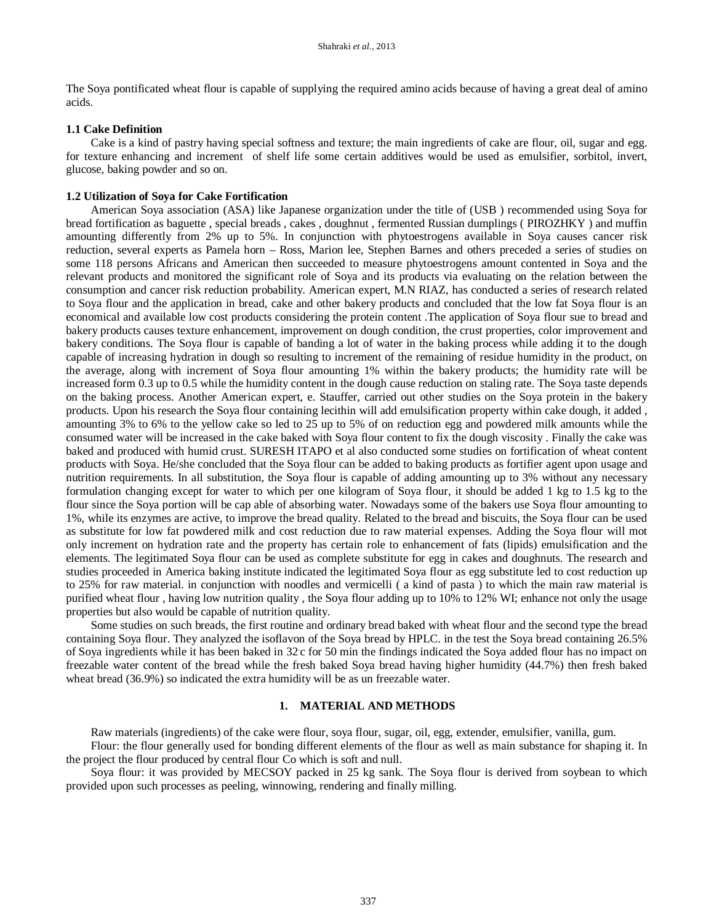The Soya pontificated wheat flour is capable of supplying the required amino acids because of having a great deal of amino acids.

## **1.1 Cake Definition**

Cake is a kind of pastry having special softness and texture; the main ingredients of cake are flour, oil, sugar and egg. for texture enhancing and increment of shelf life some certain additives would be used as emulsifier, sorbitol, invert, glucose, baking powder and so on.

#### **1.2 Utilization of Soya for Cake Fortification**

American Soya association (ASA) like Japanese organization under the title of (USB ) recommended using Soya for bread fortification as baguette , special breads , cakes , doughnut , fermented Russian dumplings ( PIROZHKY ) and muffin amounting differently from 2% up to 5%. In conjunction with phytoestrogens available in Soya causes cancer risk reduction, several experts as Pamela horn – Ross, Marion lee, Stephen Barnes and others preceded a series of studies on some 118 persons Africans and American then succeeded to measure phytoestrogens amount contented in Soya and the relevant products and monitored the significant role of Soya and its products via evaluating on the relation between the consumption and cancer risk reduction probability. American expert, M.N RIAZ, has conducted a series of research related to Soya flour and the application in bread, cake and other bakery products and concluded that the low fat Soya flour is an economical and available low cost products considering the protein content .The application of Soya flour sue to bread and bakery products causes texture enhancement, improvement on dough condition, the crust properties, color improvement and bakery conditions. The Soya flour is capable of banding a lot of water in the baking process while adding it to the dough capable of increasing hydration in dough so resulting to increment of the remaining of residue humidity in the product, on the average, along with increment of Soya flour amounting 1% within the bakery products; the humidity rate will be increased form 0.3 up to 0.5 while the humidity content in the dough cause reduction on staling rate. The Soya taste depends on the baking process. Another American expert, e. Stauffer, carried out other studies on the Soya protein in the bakery products. Upon his research the Soya flour containing lecithin will add emulsification property within cake dough, it added , amounting 3% to 6% to the yellow cake so led to 25 up to 5% of on reduction egg and powdered milk amounts while the consumed water will be increased in the cake baked with Soya flour content to fix the dough viscosity . Finally the cake was baked and produced with humid crust. SURESH ITAPO et al also conducted some studies on fortification of wheat content products with Soya. He/she concluded that the Soya flour can be added to baking products as fortifier agent upon usage and nutrition requirements. In all substitution, the Soya flour is capable of adding amounting up to 3% without any necessary formulation changing except for water to which per one kilogram of Soya flour, it should be added 1 kg to 1.5 kg to the flour since the Soya portion will be cap able of absorbing water. Nowadays some of the bakers use Soya flour amounting to 1%, while its enzymes are active, to improve the bread quality. Related to the bread and biscuits, the Soya flour can be used as substitute for low fat powdered milk and cost reduction due to raw material expenses. Adding the Soya flour will mot only increment on hydration rate and the property has certain role to enhancement of fats (lipids) emulsification and the elements. The legitimated Soya flour can be used as complete substitute for egg in cakes and doughnuts. The research and studies proceeded in America baking institute indicated the legitimated Soya flour as egg substitute led to cost reduction up to 25% for raw material. in conjunction with noodles and vermicelli ( a kind of pasta ) to which the main raw material is purified wheat flour , having low nutrition quality , the Soya flour adding up to 10% to 12% WI; enhance not only the usage properties but also would be capable of nutrition quality.

Some studies on such breads, the first routine and ordinary bread baked with wheat flour and the second type the bread containing Soya flour. They analyzed the isoflavon of the Soya bread by HPLC. in the test the Soya bread containing 26.5% of Soya ingredients while it has been baked in 32. c for 50 min the findings indicated the Soya added flour has no impact on freezable water content of the bread while the fresh baked Soya bread having higher humidity (44.7%) then fresh baked wheat bread (36.9%) so indicated the extra humidity will be as un freezable water.

## **1. MATERIAL AND METHODS**

Raw materials (ingredients) of the cake were flour, soya flour, sugar, oil, egg, extender, emulsifier, vanilla, gum.

Flour: the flour generally used for bonding different elements of the flour as well as main substance for shaping it. In the project the flour produced by central flour Co which is soft and null.

Soya flour: it was provided by MECSOY packed in 25 kg sank. The Soya flour is derived from soybean to which provided upon such processes as peeling, winnowing, rendering and finally milling.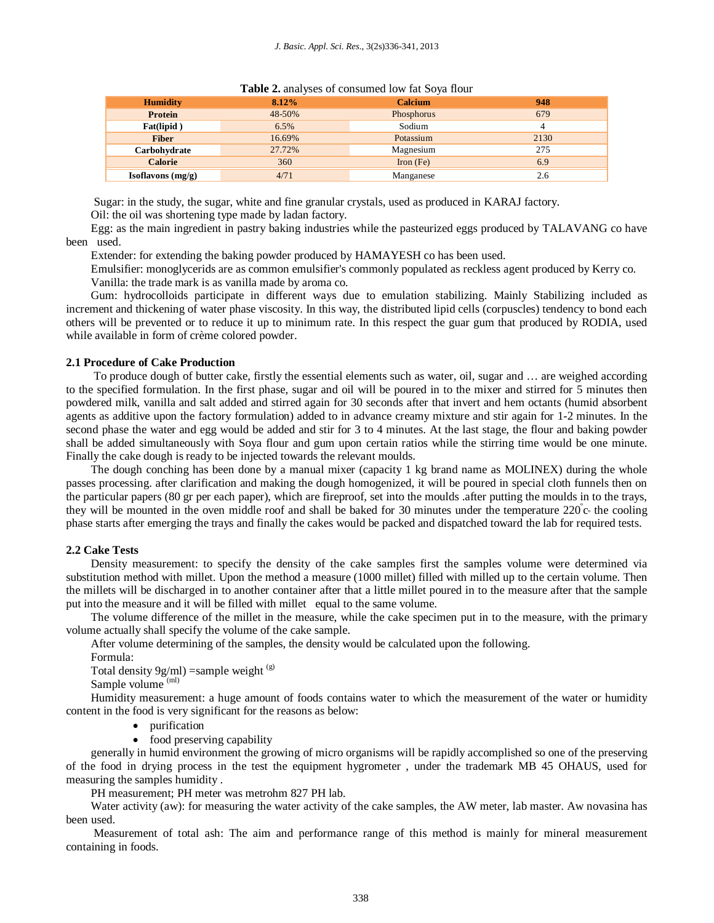| <b>Humidity</b>     | 8.12%  | <b>Calcium</b> | 948  |  |  |
|---------------------|--------|----------------|------|--|--|
| Protein             | 48-50% | Phosphorus     | 679  |  |  |
| Fat(lipid)          | 6.5%   | Sodium         | 4    |  |  |
| <b>Fiber</b>        | 16.69% | Potassium      | 2130 |  |  |
| Carbohydrate        | 27.72% | Magnesium      | 275  |  |  |
| <b>Calorie</b>      | 360    | Iron (Fe)      | 6.9  |  |  |
| Isoflavons $(mg/g)$ | 4/71   | Manganese      | 2.6  |  |  |

#### **Table 2.** analyses of consumed low fat Soya flour

Sugar: in the study, the sugar, white and fine granular crystals, used as produced in KARAJ factory.

Oil: the oil was shortening type made by ladan factory.

Egg: as the main ingredient in pastry baking industries while the pasteurized eggs produced by TALAVANG co have been used.

Extender: for extending the baking powder produced by HAMAYESH co has been used.

Emulsifier: monoglycerids are as common emulsifier's commonly populated as reckless agent produced by Kerry co. Vanilla: the trade mark is as vanilla made by aroma co.

Gum: hydrocolloids participate in different ways due to emulation stabilizing. Mainly Stabilizing included as increment and thickening of water phase viscosity. In this way, the distributed lipid cells (corpuscles) tendency to bond each others will be prevented or to reduce it up to minimum rate. In this respect the guar gum that produced by RODIA, used while available in form of crème colored powder.

### **2.1 Procedure of Cake Production**

To produce dough of butter cake, firstly the essential elements such as water, oil, sugar and … are weighed according to the specified formulation. In the first phase, sugar and oil will be poured in to the mixer and stirred for 5 minutes then powdered milk, vanilla and salt added and stirred again for 30 seconds after that invert and hem octants (humid absorbent agents as additive upon the factory formulation) added to in advance creamy mixture and stir again for 1-2 minutes. In the second phase the water and egg would be added and stir for 3 to 4 minutes. At the last stage, the flour and baking powder shall be added simultaneously with Soya flour and gum upon certain ratios while the stirring time would be one minute. Finally the cake dough is ready to be injected towards the relevant moulds.

The dough conching has been done by a manual mixer (capacity 1 kg brand name as MOLINEX) during the whole passes processing. after clarification and making the dough homogenized, it will be poured in special cloth funnels then on the particular papers (80 gr per each paper), which are fireproof, set into the moulds .after putting the moulds in to the trays, they will be mounted in the oven middle roof and shall be baked for 30 minutes under the temperature  $220^{\circ}$  the cooling phase starts after emerging the trays and finally the cakes would be packed and dispatched toward the lab for required tests.

### **2.2 Cake Tests**

Density measurement: to specify the density of the cake samples first the samples volume were determined via substitution method with millet. Upon the method a measure (1000 millet) filled with milled up to the certain volume. Then the millets will be discharged in to another container after that a little millet poured in to the measure after that the sample put into the measure and it will be filled with millet equal to the same volume.

The volume difference of the millet in the measure, while the cake specimen put in to the measure, with the primary volume actually shall specify the volume of the cake sample.

After volume determining of the samples, the density would be calculated upon the following.

Formula:

Total density  $9g/ml$ ) =sample weight <sup>(g)</sup>

Sample volume<sup>(ml)</sup>

Humidity measurement: a huge amount of foods contains water to which the measurement of the water or humidity content in the food is very significant for the reasons as below:

- purification
- food preserving capability

generally in humid environment the growing of micro organisms will be rapidly accomplished so one of the preserving of the food in drying process in the test the equipment hygrometer , under the trademark MB 45 OHAUS, used for measuring the samples humidity .

PH measurement; PH meter was metrohm 827 PH lab.

Water activity (aw): for measuring the water activity of the cake samples, the AW meter, lab master. Aw novasina has been used.

Measurement of total ash: The aim and performance range of this method is mainly for mineral measurement containing in foods.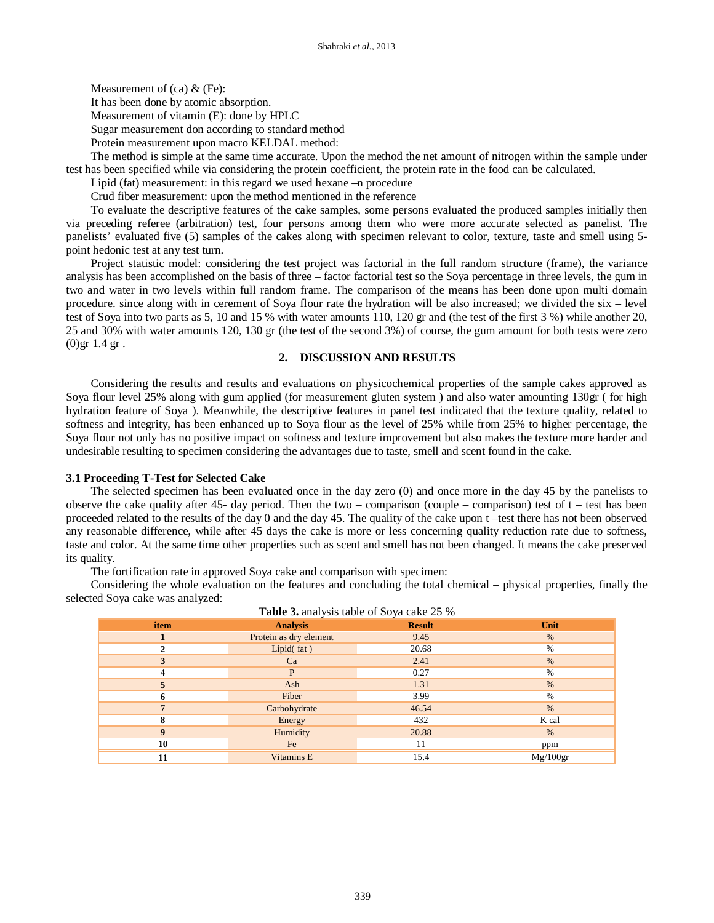Measurement of  $(ca)$  &  $(Fe)$ :

It has been done by atomic absorption.

Measurement of vitamin (E): done by HPLC

Sugar measurement don according to standard method

Protein measurement upon macro KELDAL method:

The method is simple at the same time accurate. Upon the method the net amount of nitrogen within the sample under test has been specified while via considering the protein coefficient, the protein rate in the food can be calculated.

Lipid (fat) measurement: in this regard we used hexane –n procedure

Crud fiber measurement: upon the method mentioned in the reference

To evaluate the descriptive features of the cake samples, some persons evaluated the produced samples initially then via preceding referee (arbitration) test, four persons among them who were more accurate selected as panelist. The panelists' evaluated five (5) samples of the cakes along with specimen relevant to color, texture, taste and smell using 5 point hedonic test at any test turn.

Project statistic model: considering the test project was factorial in the full random structure (frame), the variance analysis has been accomplished on the basis of three – factor factorial test so the Soya percentage in three levels, the gum in two and water in two levels within full random frame. The comparison of the means has been done upon multi domain procedure. since along with in cerement of Soya flour rate the hydration will be also increased; we divided the six – level test of Soya into two parts as 5, 10 and 15 % with water amounts 110, 120 gr and (the test of the first 3 %) while another 20, 25 and 30% with water amounts 120, 130 gr (the test of the second 3%) of course, the gum amount for both tests were zero (0)gr 1.4 gr .

## **2. DISCUSSION AND RESULTS**

Considering the results and results and evaluations on physicochemical properties of the sample cakes approved as Soya flour level 25% along with gum applied (for measurement gluten system ) and also water amounting 130gr ( for high hydration feature of Soya ). Meanwhile, the descriptive features in panel test indicated that the texture quality, related to softness and integrity, has been enhanced up to Soya flour as the level of 25% while from 25% to higher percentage, the Soya flour not only has no positive impact on softness and texture improvement but also makes the texture more harder and undesirable resulting to specimen considering the advantages due to taste, smell and scent found in the cake.

## **3.1 Proceeding T-Test for Selected Cake**

The selected specimen has been evaluated once in the day zero (0) and once more in the day 45 by the panelists to observe the cake quality after 45- day period. Then the two – comparison (couple – comparison) test of  $t$  – test has been proceeded related to the results of the day 0 and the day 45. The quality of the cake upon t –test there has not been observed any reasonable difference, while after 45 days the cake is more or less concerning quality reduction rate due to softness, taste and color. At the same time other properties such as scent and smell has not been changed. It means the cake preserved its quality.

The fortification rate in approved Soya cake and comparison with specimen:

Considering the whole evaluation on the features and concluding the total chemical – physical properties, finally the selected Soya cake was analyzed:

| item | <b>Analysis</b>        | <b>Result</b> | Unit     |
|------|------------------------|---------------|----------|
|      | Protein as dry element | 9.45          | %        |
|      | Lipid $(\text{fat})$   | 20.68         | $\%$     |
|      | Ca                     | 2.41          | $\%$     |
|      | P                      | 0.27          | $\%$     |
| э    | Ash                    | 1.31          | $\%$     |
|      | Fiber                  | 3.99          | $\%$     |
|      | Carbohydrate           | 46.54         | $\%$     |
|      | Energy                 | 432           | K cal    |
| 9    | Humidity               | 20.88         | $\%$     |
| 10   | Fe                     | 11            | ppm      |
| 11   | Vitamins E             | 15.4          | Mg/100gr |

**Table 3.** analysis table of Soya cake 25 %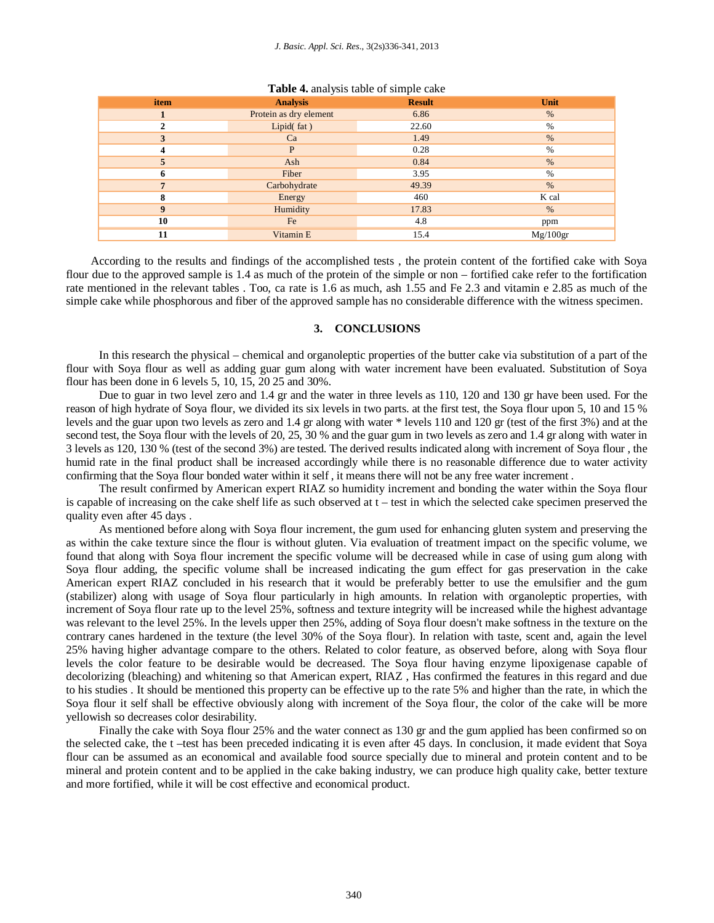| item            | <b>Analysis</b>        | <b>Result</b> | Unit     |
|-----------------|------------------------|---------------|----------|
|                 | Protein as dry element | 6.86          | %        |
| 2               | Lipid $(\text{fat})$   | 22.60         | $\%$     |
| 3               | Ca                     | 1.49          | %        |
| 4               | P                      | 0.28          | %        |
| 5               | Ash                    | 0.84          | $\%$     |
| 6               | Fiber                  | 3.95          | $\%$     |
| $7\phantom{.0}$ | Carbohydrate           | 49.39         | $\%$     |
| 8               | Energy                 | 460           | K cal    |
| 9               | Humidity               | 17.83         | %        |
| 10              | Fe                     | 4.8           | ppm      |
| 11              | Vitamin E              | 15.4          | Mg/100gr |

#### **Table 4.** analysis table of simple cake

According to the results and findings of the accomplished tests , the protein content of the fortified cake with Soya flour due to the approved sample is 1.4 as much of the protein of the simple or non – fortified cake refer to the fortification rate mentioned in the relevant tables . Too, ca rate is 1.6 as much, ash 1.55 and Fe 2.3 and vitamin e 2.85 as much of the simple cake while phosphorous and fiber of the approved sample has no considerable difference with the witness specimen.

### **3. CONCLUSIONS**

In this research the physical – chemical and organoleptic properties of the butter cake via substitution of a part of the flour with Soya flour as well as adding guar gum along with water increment have been evaluated. Substitution of Soya flour has been done in 6 levels 5, 10, 15, 20 25 and 30%.

Due to guar in two level zero and 1.4 gr and the water in three levels as 110, 120 and 130 gr have been used. For the reason of high hydrate of Soya flour, we divided its six levels in two parts. at the first test, the Soya flour upon 5, 10 and 15 % levels and the guar upon two levels as zero and 1.4 gr along with water \* levels 110 and 120 gr (test of the first 3%) and at the second test, the Soya flour with the levels of 20, 25, 30 % and the guar gum in two levels as zero and 1.4 gr along with water in 3 levels as 120, 130 % (test of the second 3%) are tested. The derived results indicated along with increment of Soya flour , the humid rate in the final product shall be increased accordingly while there is no reasonable difference due to water activity confirming that the Soya flour bonded water within it self , it means there will not be any free water increment .

The result confirmed by American expert RIAZ so humidity increment and bonding the water within the Soya flour is capable of increasing on the cake shelf life as such observed at t – test in which the selected cake specimen preserved the quality even after 45 days .

As mentioned before along with Soya flour increment, the gum used for enhancing gluten system and preserving the as within the cake texture since the flour is without gluten. Via evaluation of treatment impact on the specific volume, we found that along with Soya flour increment the specific volume will be decreased while in case of using gum along with Soya flour adding, the specific volume shall be increased indicating the gum effect for gas preservation in the cake American expert RIAZ concluded in his research that it would be preferably better to use the emulsifier and the gum (stabilizer) along with usage of Soya flour particularly in high amounts. In relation with organoleptic properties, with increment of Soya flour rate up to the level 25%, softness and texture integrity will be increased while the highest advantage was relevant to the level 25%. In the levels upper then 25%, adding of Soya flour doesn't make softness in the texture on the contrary canes hardened in the texture (the level 30% of the Soya flour). In relation with taste, scent and, again the level 25% having higher advantage compare to the others. Related to color feature, as observed before, along with Soya flour levels the color feature to be desirable would be decreased. The Soya flour having enzyme lipoxigenase capable of decolorizing (bleaching) and whitening so that American expert, RIAZ , Has confirmed the features in this regard and due to his studies . It should be mentioned this property can be effective up to the rate 5% and higher than the rate, in which the Soya flour it self shall be effective obviously along with increment of the Soya flour, the color of the cake will be more yellowish so decreases color desirability.

Finally the cake with Soya flour 25% and the water connect as 130 gr and the gum applied has been confirmed so on the selected cake, the t –test has been preceded indicating it is even after 45 days. In conclusion, it made evident that Soya flour can be assumed as an economical and available food source specially due to mineral and protein content and to be mineral and protein content and to be applied in the cake baking industry, we can produce high quality cake, better texture and more fortified, while it will be cost effective and economical product.